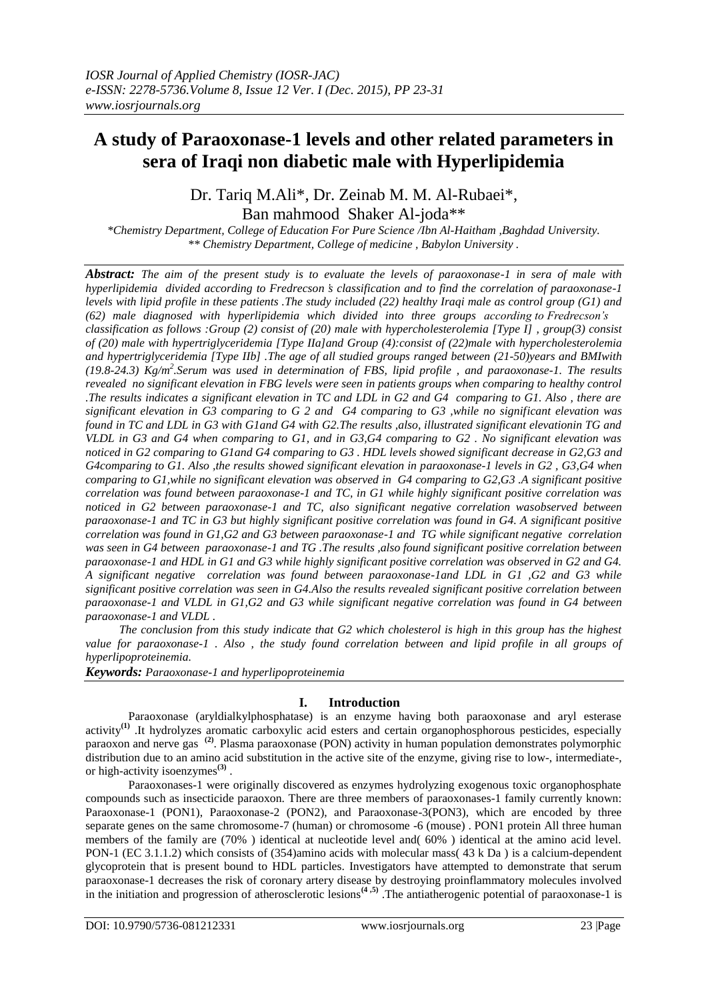# **A study of Paraoxonase-1 levels and other related parameters in sera of Iraqi non diabetic male with Hyperlipidemia**

Dr. Tariq M.Ali\*, Dr. Zeinab M. M. Al-Rubaei\*, Ban mahmood Shaker Al-joda\*\*

*\*Chemistry Department, College of Education For Pure Science /Ibn Al-Haitham ,Baghdad University. \*\* Chemistry Department, College of medicine , Babylon University .*

*Abstract: The aim of the present study is to evaluate the levels of paraoxonase-1 in sera of male with hyperlipidemia divided according to Fredrecson ҆s classification and to find the correlation of paraoxonase-1 levels with lipid profile in these patients .The study included (22) healthy Iraqi male as control group (G1) and (62) male diagnosed with hyperlipidemia which divided into three groups according to Fredrecson ҆ s classification as follows :Group (2) consist of (20) male with hypercholesterolemia [Type I] , group(3) consist of (20) male with hypertriglyceridemia [Type IIa]and Group (4):consist of (22)male with hypercholesterolemia and hypertriglyceridemia [Type IIb] .The age of all studied groups ranged between (21-50)years and BMIwith*  (19.8-24.3) Kg/m<sup>2</sup>. Serum was used in determination of FBS, lipid profile, and paraoxonase-1. The results *revealed no significant elevation in FBG levels were seen in patients groups when comparing to healthy control .The results indicates a significant elevation in TC and LDL in G2 and G4 comparing to G1. Also , there are significant elevation in G3 comparing to G 2 and G4 comparing to G3 ,while no significant elevation was found in TC and LDL in G3 with G1and G4 with G2.The results ,also, illustrated significant elevationin TG and VLDL in G3 and G4 when comparing to G1, and in G3,G4 comparing to G2 . No significant elevation was noticed in G2 comparing to G1and G4 comparing to G3 . HDL levels showed significant decrease in G2,G3 and G4comparing to G1. Also ,the results showed significant elevation in paraoxonase-1 levels in G2 , G3,G4 when comparing to G1,while no significant elevation was observed in G4 comparing to G2,G3 .A significant positive correlation was found between paraoxonase-1 and TC, in G1 while highly significant positive correlation was noticed in G2 between paraoxonase-1 and TC, also significant negative correlation wasobserved between paraoxonase-1 and TC in G3 but highly significant positive correlation was found in G4. A significant positive correlation was found in G1,G2 and G3 between paraoxonase-1 and TG while significant negative correlation was seen in G4 between paraoxonase-1 and TG .The results ,also found significant positive correlation between paraoxonase-1 and HDL in G1 and G3 while highly significant positive correlation was observed in G2 and G4. A significant negative correlation was found between paraoxonase-1and LDL in G1 ,G2 and G3 while significant positive correlation was seen in G4.Also the results revealed significant positive correlation between paraoxonase-1 and VLDL in G1,G2 and G3 while significant negative correlation was found in G4 between paraoxonase-1 and VLDL .* 

*The conclusion from this study indicate that G2 which cholesterol is high in this group has the highest value for paraoxonase-1 . Also , the study found correlation between and lipid profile in all groups of hyperlipoproteinemia.*

*Keywords: Paraoxonase-1 and hyperlipoproteinemia*

#### **I. Introduction**

Paraoxonase (aryldialkylphosphatase) is an enzyme having both paraoxonase and aryl esterase activity<sup>(1)</sup> .It hydrolyzes aromatic carboxylic acid esters and certain organophosphorous pesticides, especially paraoxon and nerve gas **(2)** . Plasma paraoxonase (PON) activity in human population demonstrates polymorphic distribution due to an amino acid substitution in the active site of the enzyme, giving rise to low-, intermediate-, or high-activity isoenzymes**(3)** .

Paraoxonases-1 were originally discovered as enzymes hydrolyzing exogenous toxic organophosphate compounds such as insecticide paraoxon. There are three members of paraoxonases-1 family currently known: Paraoxonase-1 (PON1), Paraoxonase-2 (PON2), and Paraoxonase-3(PON3), which are encoded by three separate genes on the same chromosome-7 (human) or chromosome -6 (mouse) . PON1 protein All three human members of the family are (70% ) identical at nucleotide level and( 60% ) identical at the amino acid level. PON-1 (EC 3.1.1.2) which consists of (354)amino acids with molecular mass( 43 k Da ) is a calcium-dependent glycoprotein that is present bound to HDL particles. Investigators have attempted to demonstrate that serum paraoxonase-1 decreases the risk of coronary artery disease by destroying proinflammatory molecules involved in the initiation and progression of atherosclerotic lesions**(4 ,5)** .The antiatherogenic potential of paraoxonase-1 is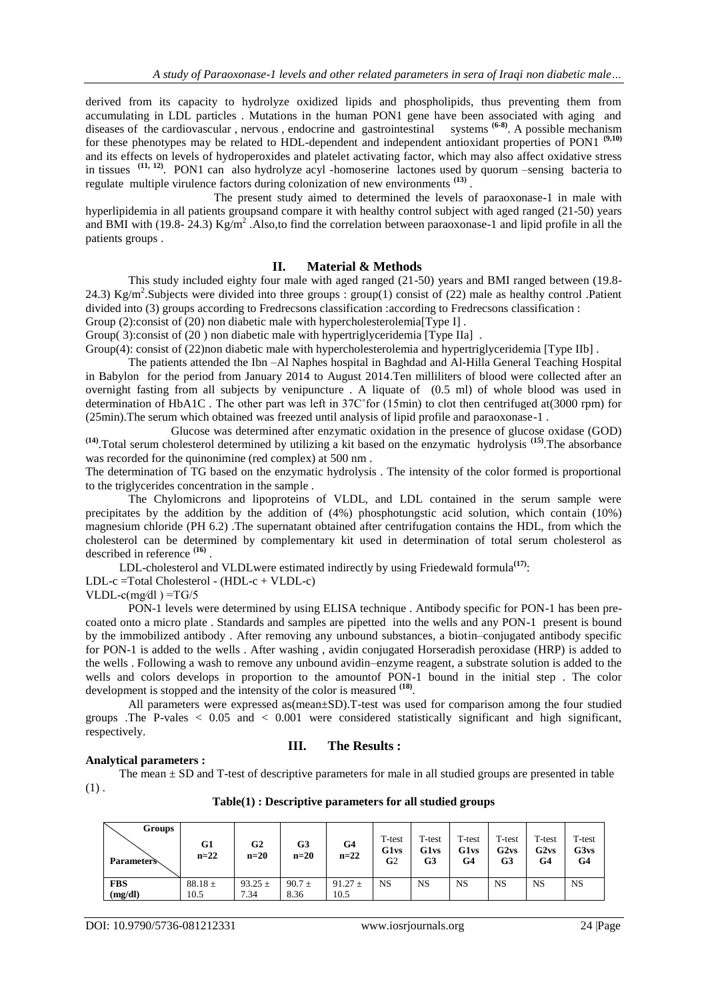derived from its capacity to hydrolyze oxidized lipids and phospholipids, thus preventing them from accumulating in LDL particles . Mutations in the human PON1 gene have been associated with aging and diseases of the cardiovascular, nervous, endocrine and gastrointestinal systems <sup>(6-8)</sup>. A possible mechanism for these phenotypes may be related to HDL-dependent and independent antioxidant properties of PON1 **(9,10)** and its effects on levels of hydroperoxides and platelet activating factor, which may also affect oxidative stress in tissues **(11, 12)** . PON1 can also hydrolyze acyl -homoserine lactones used by quorum –sensing bacteria to regulate multiple virulence factors during colonization of new environments **(13)** .

The present study aimed to determined the levels of paraoxonase-1 in male with hyperlipidemia in all patients groupsand compare it with healthy control subject with aged ranged (21-50) years and BMI with (19.8- 24.3)  $\text{Kg/m}^2$ . Also,to find the correlation between paraoxonase-1 and lipid profile in all the patients groups .

#### **II. Material & Methods**

This study included eighty four male with aged ranged (21-50) years and BMI ranged between (19.8- 24.3) Kg/m<sup>2</sup>. Subjects were divided into three groups : group(1) consist of (22) male as healthy control .Patient divided into (3) groups according to Fredrecsons classification : according to Fredrecsons classification :

Group (2):consist of (20) non diabetic male with hypercholesterolemia[Type I].

Group(3):consist of (20) non diabetic male with hypertriglyceridemia [Type IIa].

Group(4): consist of (22)non diabetic male with hypercholesterolemia and hypertriglyceridemia [Type IIb].

The patients attended the Ibn –Al Naphes hospital in Baghdad and Al-Hilla General Teaching Hospital in Babylon for the period from January 2014 to August 2014.Ten milliliters of blood were collected after an overnight fasting from all subjects by venipuncture . A liquate of (0.5 ml) of whole blood was used in determination of HbA1C . The other part was left in 37C˚for (15min) to clot then centrifuged at(3000 rpm) for (25min).The serum which obtained was freezed until analysis of lipid profile and paraoxonase-1 .

Glucose was determined after enzymatic oxidation in the presence of glucose oxidase (GOD) **(14)** .Total serum cholesterol determined by utilizing a kit based on the enzymatic hydrolysis **(15)** .The absorbance was recorded for the quinonimine (red complex) at 500 nm .

The determination of TG based on the enzymatic hydrolysis . The intensity of the color formed is proportional to the triglycerides concentration in the sample .

The Chylomicrons and lipoproteins of VLDL, and LDL contained in the serum sample were precipitates by the addition by the addition of (4%) phosphotungstic acid solution, which contain (10%) magnesium chloride (PH 6.2) .The supernatant obtained after centrifugation contains the HDL, from which the cholesterol can be determined by complementary kit used in determination of total serum cholesterol as described in reference **(16)** .

LDL-cholesterol and VLDLwere estimated indirectly by using Friedewald formula<sup>(17)</sup>: LDL-c =Total Cholesterol - (HDL-c + VLDL-c)

VLDL-c(mg/dl) = $TG/5$ 

PON-1 levels were determined by using ELISA technique . Antibody specific for PON-1 has been precoated onto a micro plate . Standards and samples are pipetted into the wells and any PON-1 present is bound by the immobilized antibody . After removing any unbound substances, a biotin–conjugated antibody specific for PON-1 is added to the wells . After washing , avidin conjugated Horseradish peroxidase (HRP) is added to the wells . Following a wash to remove any unbound avidin–enzyme reagent, a substrate solution is added to the wells and colors develops in proportion to the amountof PON-1 bound in the initial step . The color development is stopped and the intensity of the color is measured **(18)** .

All parameters were expressed as(mean±SD).T-test was used for comparison among the four studied groups .The P-vales < 0.05 and < 0.001 were considered statistically significant and high significant, respectively.

#### **Analytical parameters :**

## **III. The Results :**

The mean  $\pm$  SD and T-test of descriptive parameters for male in all studied groups are presented in table  $(1)$ .

| $Table(1):$ Descriptive parameters for all studied groups |  |  |
|-----------------------------------------------------------|--|--|
|-----------------------------------------------------------|--|--|

| Groups<br><b>Parameters</b> | G1<br>$n=22$ | G2<br>$n=20$ | G3<br>$n=20$ | G4<br>$n=22$ | T-test<br>G1 <sub>vs</sub><br>G2 | T-test<br>G1vs<br>G3 | T-test<br>G1vs<br>G4 | T-test<br>G2vs<br>G3 | T-test<br>G2vs<br>G4 | T-test<br>G3vs<br>G4 |
|-----------------------------|--------------|--------------|--------------|--------------|----------------------------------|----------------------|----------------------|----------------------|----------------------|----------------------|
| <b>FBS</b>                  | $88.18 \pm$  | 93.25 $\pm$  | $90.7 \pm$   | $91.27 \pm$  | NS                               | NS                   | <b>NS</b>            | <b>NS</b>            | <b>NS</b>            | <b>NS</b>            |
| (mg/dl)                     | 10.5         | 7.34         | 8.36         | 10.5         |                                  |                      |                      |                      |                      |                      |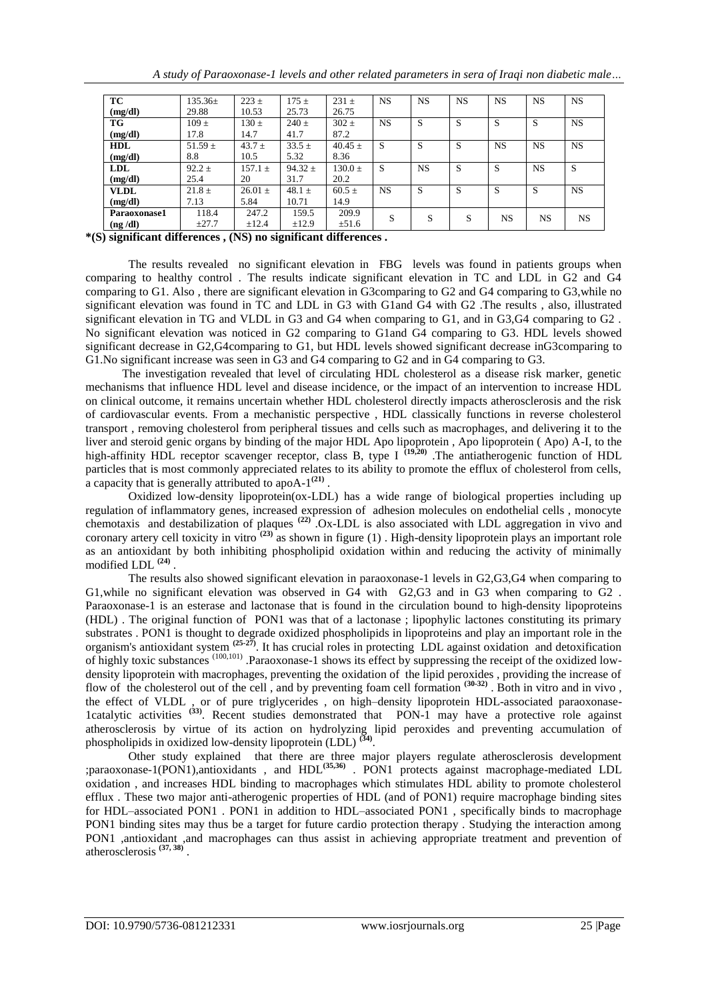| A study of Paraoxonase-1 levels and other related parameters in sera of Iraqi non diabetic male |  |  |
|-------------------------------------------------------------------------------------------------|--|--|
|                                                                                                 |  |  |
|                                                                                                 |  |  |
|                                                                                                 |  |  |

| <b>TC</b>    | $135.36\pm$ | $223 +$     | $175 +$     | $231 \pm$     | <b>NS</b> | <b>NS</b> | <b>NS</b>    | <b>NS</b> | <b>NS</b>    | <b>NS</b> |
|--------------|-------------|-------------|-------------|---------------|-----------|-----------|--------------|-----------|--------------|-----------|
| (mg/dl)      | 29.88       | 10.53       | 25.73       | 26.75         |           |           |              |           |              |           |
| <b>TG</b>    | $109 \pm$   | $130 \pm$   | $240 \pm$   | $302 \pm$     | <b>NS</b> | S         | S            | S         | <sub>S</sub> | <b>NS</b> |
| (mg/dl)      | 17.8        | 14.7        | 41.7        | 87.2          |           |           |              |           |              |           |
| <b>HDL</b>   | $51.59 \pm$ | $43.7 \pm$  | $33.5 \pm$  | $40.45 \pm$   | S         | S         | S            | <b>NS</b> | <b>NS</b>    | <b>NS</b> |
| (mg/dl)      | 8.8         | 10.5        | 5.32        | 8.36          |           |           |              |           |              |           |
| <b>LDL</b>   | $92.2 \pm$  | $157.1 \pm$ | 94.32 $\pm$ | $130.0 \pm 1$ | S         | <b>NS</b> | S            | S         | <b>NS</b>    | S         |
| (mg/dl)      | 25.4        | 20          | 31.7        | 20.2          |           |           |              |           |              |           |
| <b>VLDL</b>  | $21.8 \pm$  | $26.01 \pm$ | $48.1 \pm$  | $60.5 \pm$    | <b>NS</b> | S         | S            | S         | <sub>S</sub> | <b>NS</b> |
| (mg/dl)      | 7.13        | 5.84        | 10.71       | 14.9          |           |           |              |           |              |           |
| Paraoxonase1 | 118.4       | 247.2       | 159.5       | 209.9         | S         | S         | <sub>S</sub> | NS        | <b>NS</b>    | <b>NS</b> |
| (ng/dl)      | $\pm 27.7$  | $\pm 12.4$  | $\pm 12.9$  | $\pm 51.6$    |           |           |              |           |              |           |

**\*(S) significant differences , (NS) no significant differences .**

The results revealed no significant elevation in FBG levels was found in patients groups when comparing to healthy control . The results indicate significant elevation in TC and LDL in G2 and G4 comparing to G1. Also , there are significant elevation in G3comparing to G2 and G4 comparing to G3,while no significant elevation was found in TC and LDL in G3 with G1and G4 with G2 .The results , also, illustrated significant elevation in TG and VLDL in G3 and G4 when comparing to G1, and in G3,G4 comparing to G2 . No significant elevation was noticed in G2 comparing to G1and G4 comparing to G3. HDL levels showed significant decrease in G2,G4comparing to G1, but HDL levels showed significant decrease inG3comparing to G1.No significant increase was seen in G3 and G4 comparing to G2 and in G4 comparing to G3.

The investigation revealed that level of circulating HDL cholesterol as a disease risk marker, genetic mechanisms that influence HDL level and disease incidence, or the impact of an intervention to increase HDL on clinical outcome, it remains uncertain whether HDL cholesterol directly impacts atherosclerosis and the risk of cardiovascular events. From a mechanistic perspective , HDL classically functions in reverse cholesterol transport , removing cholesterol from peripheral tissues and cells such as macrophages, and delivering it to the liver and steroid genic organs by binding of the major HDL Apo lipoprotein , Apo lipoprotein ( Apo) A-I, to the high-affinity HDL receptor scavenger receptor, class B, type I **(19,20)** .The antiatherogenic function of HDL particles that is most commonly appreciated relates to its ability to promote the efflux of cholesterol from cells, a capacity that is generally attributed to apo $A^{-1}$ <sup>(21)</sup>.

Oxidized low-density lipoprotein(ox-LDL) has a wide range of biological properties including up regulation of inflammatory genes, increased expression of adhesion molecules on endothelial cells , monocyte chemotaxis and destabilization of plaques **(22)** .Ox-LDL is also associated with LDL aggregation in vivo and coronary artery cell toxicity in vitro **(23)** as shown in figure (1) . High-density lipoprotein plays an important role as an antioxidant by both inhibiting phospholipid oxidation within and reducing the activity of minimally modified LDL **(24)** .

The results also showed significant elevation in paraoxonase-1 levels in G2,G3,G4 when comparing to G1,while no significant elevation was observed in G4 with G2,G3 and in G3 when comparing to G2 . Paraoxonase-1 is an esterase and lactonase that is found in the circulation bound to high-density lipoproteins (HDL) . The original function of PON1 was that of a lactonase ; lipophylic lactones constituting its primary substrates . PON1 is thought to degrade oxidized phospholipids in lipoproteins and play an important role in the organism's antioxidant system **(25-27)** . It has crucial roles in protecting LDL against oxidation and detoxification of highly toxic substances (100,101) .Paraoxonase-1 shows its effect by suppressing the receipt of the oxidized lowdensity lipoprotein with macrophages, preventing the oxidation of the lipid peroxides , providing the increase of flow of the cholesterol out of the cell, and by preventing foam cell formation  $(30-32)$ . Both in vitro and in vivo, the effect of VLDL , or of pure triglycerides , on high–density lipoprotein HDL-associated paraoxonase-1catalytic activities <sup>(33)</sup>. Recent studies demonstrated that PON-1 may have a protective role against atherosclerosis by virtue of its action on hydrolyzing lipid peroxides and preventing accumulation of phospholipids in oxidized low-density lipoprotein (LDL) **(34)** .

Other study explained that there are three major players regulate atherosclerosis development ;paraoxonase-1(PON1),antioxidants , and HDL**(35,36)** . PON1 protects against macrophage-mediated LDL oxidation , and increases HDL binding to macrophages which stimulates HDL ability to promote cholesterol efflux . These two major anti-atherogenic properties of HDL (and of PON1) require macrophage binding sites for HDL–associated PON1 . PON1 in addition to HDL–associated PON1 , specifically binds to macrophage PON1 binding sites may thus be a target for future cardio protection therapy . Studying the interaction among PON1 ,antioxidant ,and macrophages can thus assist in achieving appropriate treatment and prevention of atherosclerosis **(37, 38)** .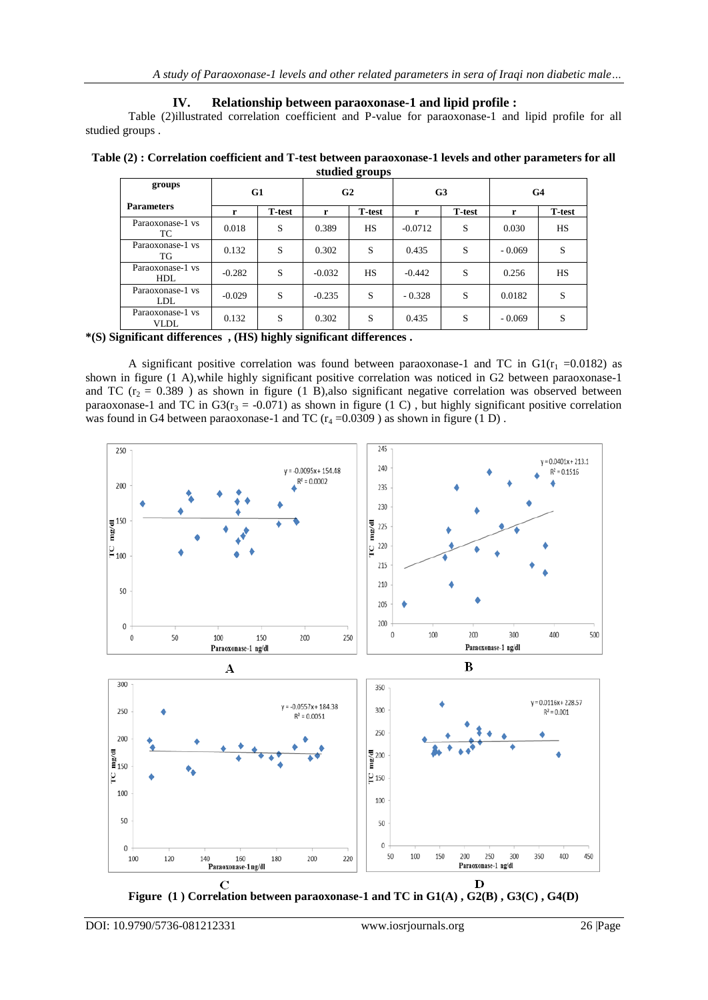### **IV. Relationship between paraoxonase-1 and lipid profile :**

Table (2)illustrated correlation coefficient and P-value for paraoxonase-1 and lipid profile for all studied groups .

|                |  |  |  |  | Table (2) : Correlation coefficient and T-test between paraoxonase-1 levels and other parameters for all |  |  |  |
|----------------|--|--|--|--|----------------------------------------------------------------------------------------------------------|--|--|--|
| studied groups |  |  |  |  |                                                                                                          |  |  |  |
|                |  |  |  |  |                                                                                                          |  |  |  |

| groups                          | G1       |                | G <sub>2</sub> |                | G <sub>3</sub> |               | G4       |               |
|---------------------------------|----------|----------------|----------------|----------------|----------------|---------------|----------|---------------|
| <b>Parameters</b>               | r        | <b>T</b> -test | r              | <b>T</b> -test | r              | <b>T-test</b> | r        | <b>T-test</b> |
| Paraoxonase-1 vs<br>TC.         | 0.018    | S              | 0.389          | HS             | $-0.0712$      | S             | 0.030    | HS            |
| Paraoxonase-1 vs<br>TG          | 0.132    | S              | 0.302          | S              | 0.435          | S             | $-0.069$ | S             |
| Paraoxonase-1 vs<br><b>HDL</b>  | $-0.282$ | S              | $-0.032$       | HS             | $-0.442$       | S             | 0.256    | HS            |
| Paraoxonase-1 vs<br>LDL         | $-0.029$ | S              | $-0.235$       | S              | $-0.328$       | S             | 0.0182   | S             |
| Paraoxonase-1 vs<br><b>VLDL</b> | 0.132    | S              | 0.302          | S              | 0.435          | S             | $-0.069$ | S             |

**\*(S) Significant differences , (HS) highly significant differences .**

A significant positive correlation was found between paraoxonase-1 and TC in  $GI(r_1 = 0.0182)$  as shown in figure (1 A),while highly significant positive correlation was noticed in G2 between paraoxonase-1 and TC ( $r_2$  = 0.389) as shown in figure (1 B), also significant negative correlation was observed between paraoxonase-1 and TC in G3( $r_3 = -0.071$ ) as shown in figure (1 C), but highly significant positive correlation was found in G4 between paraoxonase-1 and TC  $(r_4 = 0.0309)$  as shown in figure (1 D).



**Figure (1 ) Correlation between paraoxonase-1 and TC in G1(A) , G2(B) , G3(C) , G4(D)**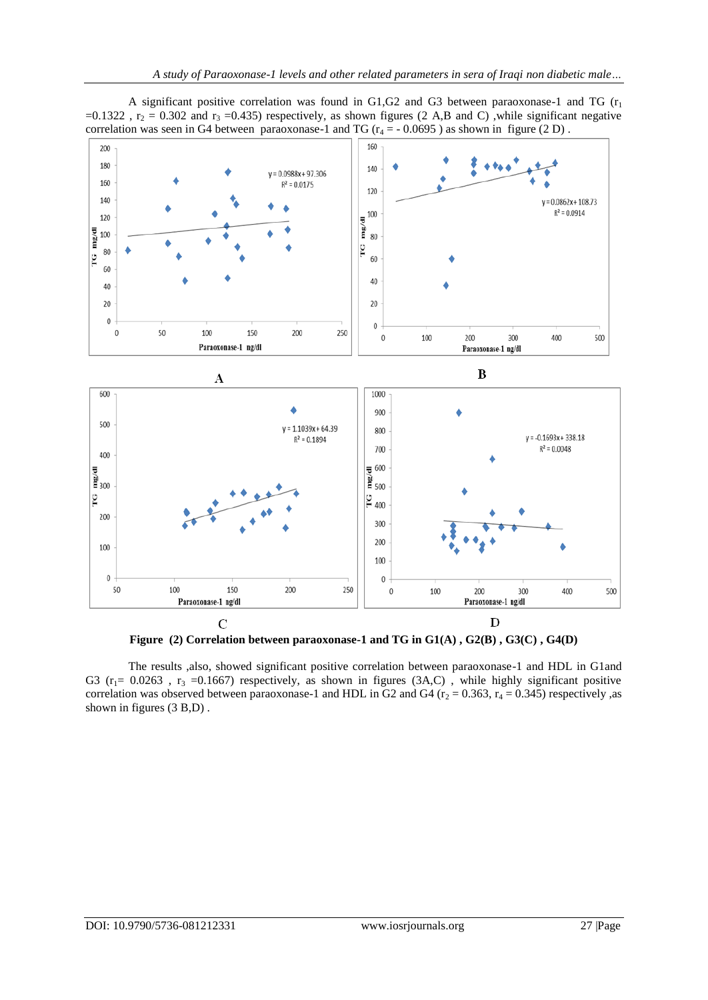A significant positive correlation was found in G1,G2 and G3 between paraoxonase-1 and TG  $(r<sub>1</sub>)$ =0.1322,  $r_2$  = 0.302 and  $r_3$  =0.435) respectively, as shown figures (2 A,B and C), while significant negative correlation was seen in G4 between paraoxonase-1 and TG ( $r_4 = -0.0695$ ) as shown in figure (2 D).



**Figure (2) Correlation between paraoxonase-1 and TG in G1(A) , G2(B) , G3(C) , G4(D)**

The results ,also, showed significant positive correlation between paraoxonase-1 and HDL in G1and G3 ( $r_1$ = 0.0263,  $r_3$  =0.1667) respectively, as shown in figures (3A,C), while highly significant positive correlation was observed between paraoxonase-1 and HDL in G2 and G4 ( $r_2$  = 0.363,  $r_4$  = 0.345) respectively ,as shown in figures (3 B,D) .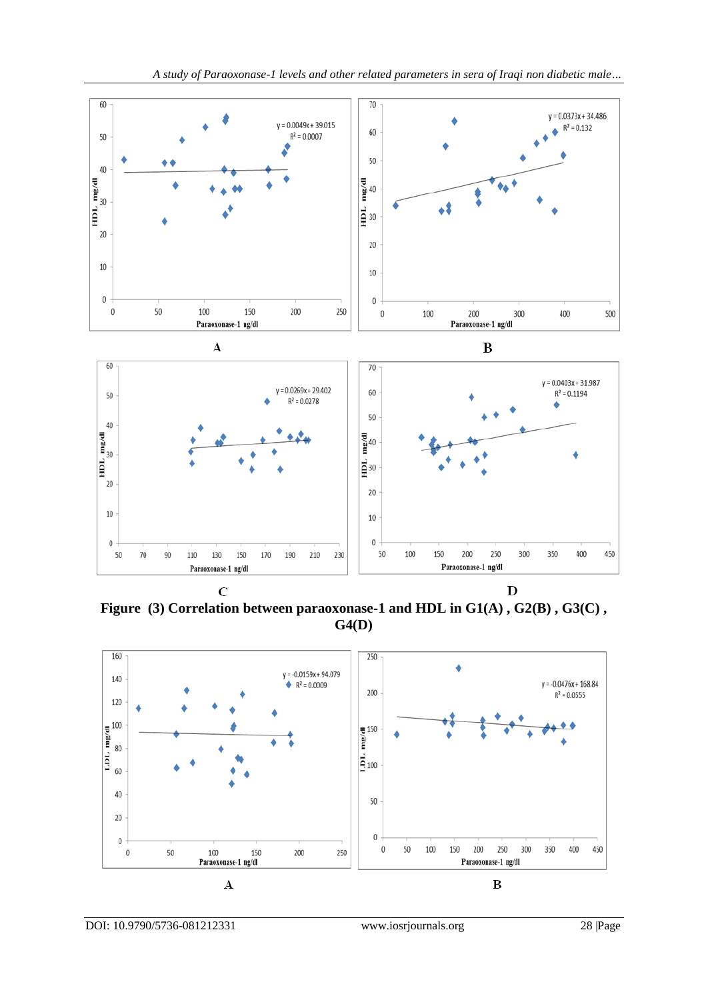

Figure (3) Correlation between paraoxonase-1 and HDL in G1(A), G2(B), G3(C), **G4(D)**

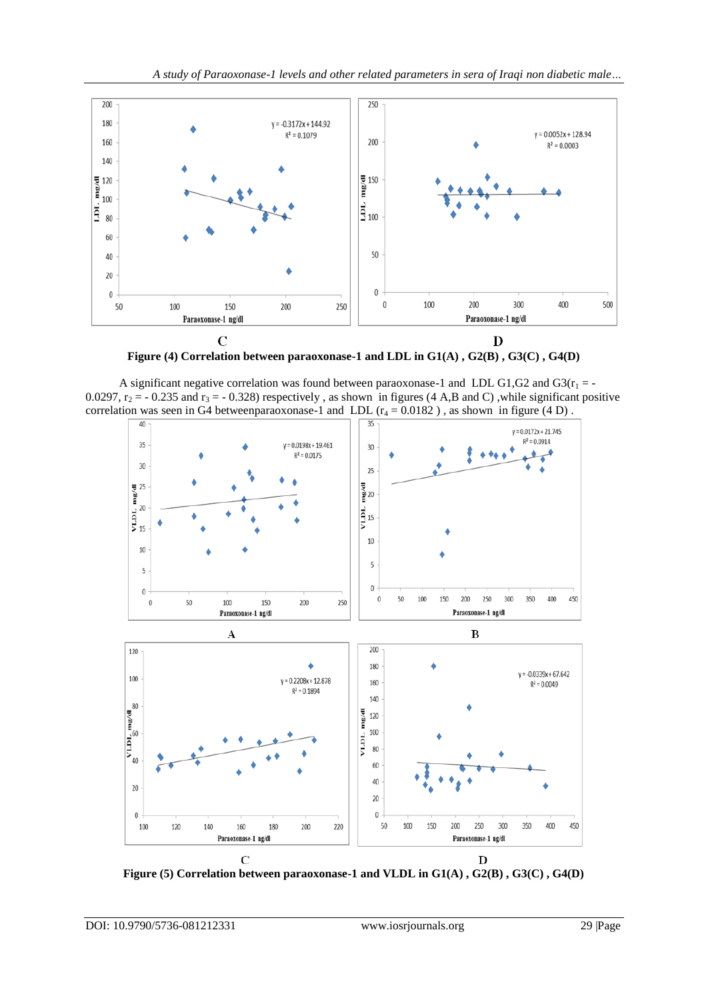

**Figure (4) Correlation between paraoxonase-1 and LDL in G1(A) , G2(B) , G3(C) , G4(D)**

A significant negative correlation was found between paraoxonase-1 and LDL G1,G2 and G3( $r_1 = -$ 0.0297,  $r_2$  = - 0.235 and  $r_3$  = - 0.328) respectively, as shown in figures (4 A,B and C), while significant positive correlation was seen in G4 betweenparaoxonase-1 and LDL  $(r_4 = 0.0182)$ , as shown in figure (4 D).



**Figure (5) Correlation between paraoxonase-1 and VLDL in G1(A) , G2(B) , G3(C) , G4(D)**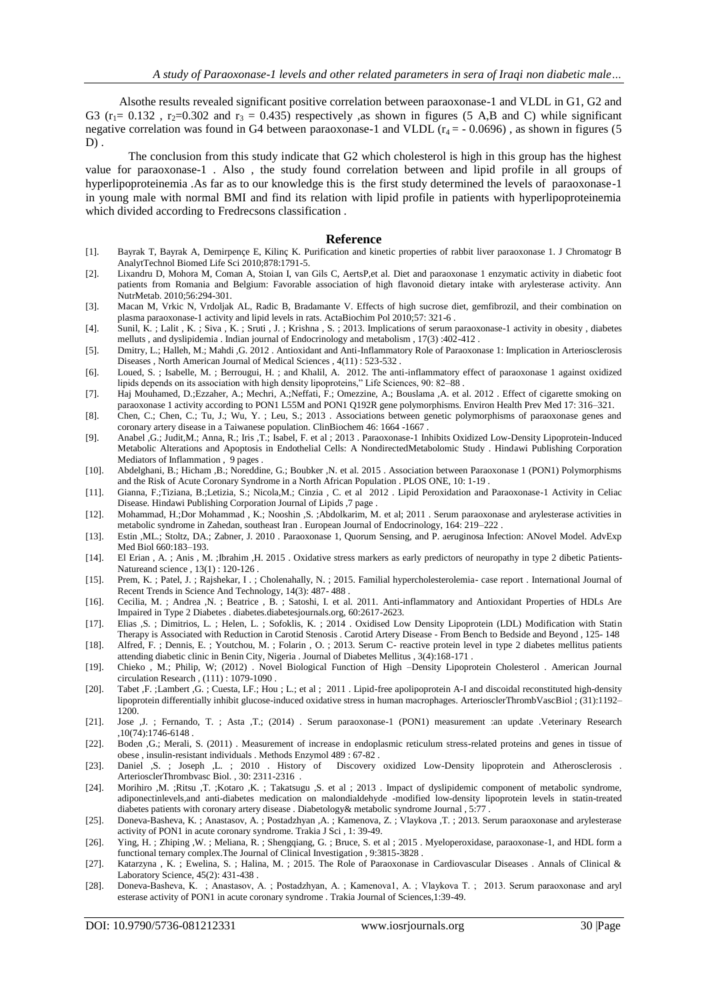Alsothe results revealed significant positive correlation between paraoxonase-1 and VLDL in G1, G2 and G3 ( $r_1$ = 0.132,  $r_2$ =0.302 and  $r_3$  = 0.435) respectively ,as shown in figures (5 A,B and C) while significant negative correlation was found in G4 between paraoxonase-1 and VLDL ( $r_4$  = -0.0696), as shown in figures (5  $D$ ).

The conclusion from this study indicate that G2 which cholesterol is high in this group has the highest value for paraoxonase-1 . Also , the study found correlation between and lipid profile in all groups of hyperlipoproteinemia .As far as to our knowledge this is the first study determined the levels of paraoxonase-1 in young male with normal BMI and find its relation with lipid profile in patients with hyperlipoproteinemia which divided according to Fredrecsons classification .

#### **Reference**

- [1]. Bayrak T, Bayrak A, Demirpençe E, Kilinç K. Purification and kinetic properties of rabbit liver paraoxonase 1. J Chromatogr B AnalytTechnol Biomed Life Sci 2010;878:1791-5.
- [2]. Lixandru D, Mohora M, Coman A, Stoian I, van Gils C, AertsP,et al. Diet and paraoxonase 1 enzymatic activity in diabetic foot patients from Romania and Belgium: Favorable association of high flavonoid dietary intake with arylesterase activity. Ann NutrMetab. 2010;56:294-301.
- [3]. Macan M, Vrkic N, Vrdoljak AL, Radic B, Bradamante V. Effects of high sucrose diet, gemfibrozil, and their combination on plasma paraoxonase-1 activity and lipid levels in rats. ActaBiochim Pol 2010;57: 321-6 .
- [4]. Sunil, K. ; Lalit , K. ; Siva , K. ; Sruti , J. ; Krishna , S. ; 2013. Implications of serum paraoxonase-1 activity in obesity , diabetes melluts , and dyslipidemia . Indian journal of Endocrinology and metabolism , 17(3) :402-412 .
- [5]. Dmitry, L.; Halleh, M.; Mahdi ,G. 2012 . Antioxidant and Anti-Inflammatory Role of Paraoxonase 1: Implication in Arteriosclerosis Diseases , North American Journal of Medical Sciences , 4(11) : 523-532 .
- [6]. Loued, S. ; Isabelle, M. ; Berrougui, H. ; and Khalil, A. 2012. The anti-inflammatory effect of paraoxonase 1 against oxidized lipids depends on its association with high density lipoproteins," Life Sciences, 90: 82–88 .
- [7]. Haj Mouhamed, D.;Ezzaher, A.; Mechri, A.;Neffati, F.; Omezzine, A.; Bouslama ,A. et al. 2012 . Effect of cigarette smoking on paraoxonase 1 activity according to PON1 L55M and PON1 Q192R gene polymorphisms. Environ Health Prev Med 17: 316–321.
- [8]. Chen, C.; Chen, C.; Tu, J.; Wu, Y. ; Leu, S.; 2013 . Associations between genetic polymorphisms of paraoxonase genes and coronary artery disease in a Taiwanese population. ClinBiochem 46: 1664 -1667 .
- [9]. Anabel ,G.; Judit,M.; Anna, R.; Iris ,T.; Isabel, F. et al ; 2013 . Paraoxonase-1 Inhibits Oxidized Low-Density Lipoprotein-Induced Metabolic Alterations and Apoptosis in Endothelial Cells: A NondirectedMetabolomic Study . Hindawi Publishing Corporation Mediators of Inflammation , 9 pages .
- [10]. Abdelghani, B.; Hicham ,B.; Noreddine, G.; Boubker ,N. et al. 2015 . Association between Paraoxonase 1 (PON1) Polymorphisms and the Risk of Acute Coronary Syndrome in a North African Population . PLOS ONE, 10: 1-19 .
- [11]. Gianna, F.;Tiziana, B.;Letizia, S.; Nicola,M.; Cinzia , C. et al 2012 . Lipid Peroxidation and Paraoxonase-1 Activity in Celiac Disease. Hindawi Publishing Corporation Journal of Lipids ,7 page .
- [12]. Mohammad, H.;Dor Mohammad , K.; Nooshin ,S. ;Abdolkarim, M. et al; 2011 . Serum paraoxonase and arylesterase activities in metabolic syndrome in Zahedan, southeast Iran . European Journal of Endocrinology, 164: 219–222 .
- [13]. Estin ,ML.; Stoltz, DA.; Zabner, J. 2010 . Paraoxonase 1, Quorum Sensing, and P. aeruginosa Infection: ANovel Model. AdvExp Med Biol 660:183–193.
- [14]. El Erian , A. ; Anis , M. ;Ibrahim ,H. 2015 . Oxidative stress markers as early predictors of neuropathy in type 2 dibetic Patients-Natureand science , 13(1) : 120-126 .
- [15]. Prem, K.; Patel, J.; Rajshekar, I.; Cholenahally, N.; 2015. Familial hypercholesterolemia- case report . International Journal of Recent Trends in Science And Technology, 14(3): 487- 488 .
- [16]. Cecilia, M. ; Andrea ,N. ; Beatrice , B. ; Satoshi, I. et al. 2011. Anti-inflammatory and Antioxidant Properties of HDLs Are Impaired in Type 2 Diabetes . diabetes.diabetesjournals.org, 60:2617-2623.
- [17]. Elias ,S. ; Dimitrios, L. ; Helen, L. ; Sofoklis, K. ; 2014 . Oxidised Low Density Lipoprotein (LDL) Modification with Statin
- Therapy is Associated with Reduction in Carotid Stenosis . Carotid Artery Disease From Bench to Bedside and Beyond , 125- 148 [18]. Alfred, F. ; Dennis, E. ; Youtchou, M. ; Folarin , O. ; 2013. Serum C- reactive protein level in type 2 diabetes mellitus patients attending diabetic clinic in Benin City, Nigeria . Journal of Diabetes Mellitus , 3(4):168-171 .
- [19]. Chieko , M.; Philip, W; (2012) . Novel Biological Function of High –Density Lipoprotein Cholesterol . American Journal circulation Research , (111) : 1079-1090 .
- [20]. Tabet ,F. ;Lambert ,G. ; Cuesta, LF.; Hou ; L.; et al ; 2011 . Lipid-free apolipoprotein A-I and discoidal reconstituted high-density lipoprotein differentially inhibit glucose-induced oxidative stress in human macrophages. ArteriosclerThrombVascBiol ; (31):1192– 1200.
- [21]. Jose ,J. ; Fernando, T. ; Asta ,T.; (2014) . Serum paraoxonase-1 (PON1) measurement :an update .Veterinary Research ,10(74):1746-6148 .
- [22]. Boden ,G.; Merali, S. (2011) . Measurement of increase in endoplasmic reticulum stress-related proteins and genes in tissue of obese , insulin-resistant individuals . Methods Enzymol 489 : 67-82 .
- [23]. Daniel ,S. ; Joseph ,L. ; 2010 . History of Discovery oxidized Low-Density lipoprotein and Atherosclerosis ArteriosclerThrombvasc Biol. , 30: 2311-2316 .
- [24]. Morihiro ,M. ;Ritsu ,T. ;Kotaro ,K. ; Takatsugu ,S. et al ; 2013 . Impact of dyslipidemic component of metabolic syndrome, adiponectinlevels,and anti-diabetes medication on malondialdehyde -modified low-density lipoprotein levels in statin-treated diabetes patients with coronary artery disease . Diabetology& metabolic syndrome Journal , 5:77 .
- [25]. Doneva-Basheva, K. ; Anastasov, A. ; Postadzhyan ,A. ; Kamenova, Z. ; Vlaykova ,T. ; 2013. Serum paraoxonase and arylesterase activity of PON1 in acute coronary syndrome. Trakia J Sci , 1: 39-49.
- [26]. Ying, H. ; Zhiping ,W. ; Meliana, R. ; Shengqiang, G. ; Bruce, S. et al ; 2015 . Myeloperoxidase, paraoxonase-1, and HDL form a functional ternary complex.The Journal of Clinical Investigation , 9:3815-3828 .
- [27]. Katarzyna , K. ; Ewelina, S. ; Halina, M. ; 2015. The Role of Paraoxonase in Cardiovascular Diseases . Annals of Clinical & Laboratory Science, 45(2): 431-438 .
- [28]. Doneva-Basheva, K. ; Anastasov, A. ; Postadzhyan, А. ; Kamenova1, A. ; Vlaykova T. ; 2013. Serum paraoxonase and aryl esterase activity of PON1 in acute coronary syndrome . Trakia Journal of Sciences,1:39-49.